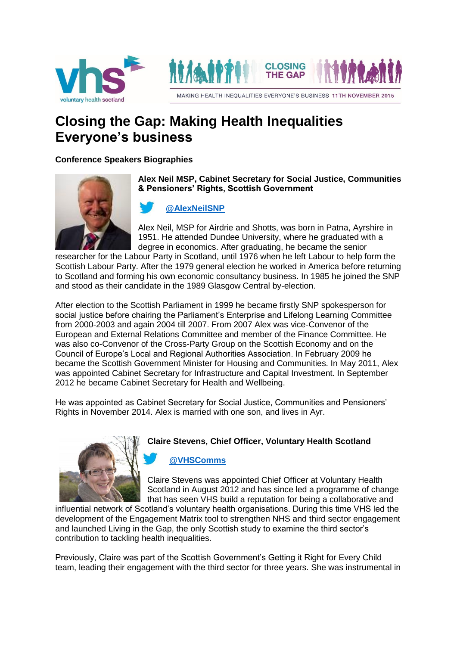



# **Closing the Gap: Making Health Inequalities Everyone's business**

**Conference Speakers Biographies** 



**Alex Neil MSP, Cabinet Secretary for Social Justice, Communities & Pensioners' Rights, Scottish Government**

# **[@AlexNeilSNP](https://twitter.com/AlexNeilSNP)**

Alex Neil, MSP for Airdrie and Shotts, was born in Patna, Ayrshire in 1951. He attended Dundee University, where he graduated with a degree in economics. After graduating, he became the senior

researcher for the Labour Party in Scotland, until 1976 when he left Labour to help form the Scottish Labour Party. After the 1979 general election he worked in America before returning to Scotland and forming his own economic consultancy business. In 1985 he joined the SNP and stood as their candidate in the 1989 Glasgow Central by-election.

After election to the Scottish Parliament in 1999 he became firstly SNP spokesperson for social justice before chairing the Parliament's Enterprise and Lifelong Learning Committee from 2000-2003 and again 2004 till 2007. From 2007 Alex was vice-Convenor of the European and External Relations Committee and member of the Finance Committee. He was also co-Convenor of the Cross-Party Group on the Scottish Economy and on the Council of Europe's Local and Regional Authorities Association. In February 2009 he became the Scottish Government Minister for Housing and Communities. In May 2011, Alex was appointed Cabinet Secretary for Infrastructure and Capital Investment. In September 2012 he became Cabinet Secretary for Health and Wellbeing.

He was appointed as Cabinet Secretary for Social Justice, Communities and Pensioners' Rights in November 2014. Alex is married with one son, and lives in Ayr.

#### **Claire Stevens, Chief Officer, Voluntary Health Scotland**

# **[@VHSComms](https://twitter.com/VHSComms)**

Claire Stevens was appointed Chief Officer at Voluntary Health Scotland in August 2012 and has since led a programme of change that has seen VHS build a reputation for being a collaborative and

influential network of Scotland's voluntary health organisations. During this time VHS led the development of the Engagement Matrix tool to strengthen NHS and third sector engagement and launched Living in the Gap, the only Scottish study to examine the third sector's contribution to tackling health inequalities.

Previously, Claire was part of the Scottish Government's Getting it Right for Every Child team, leading their engagement with the third sector for three years. She was instrumental in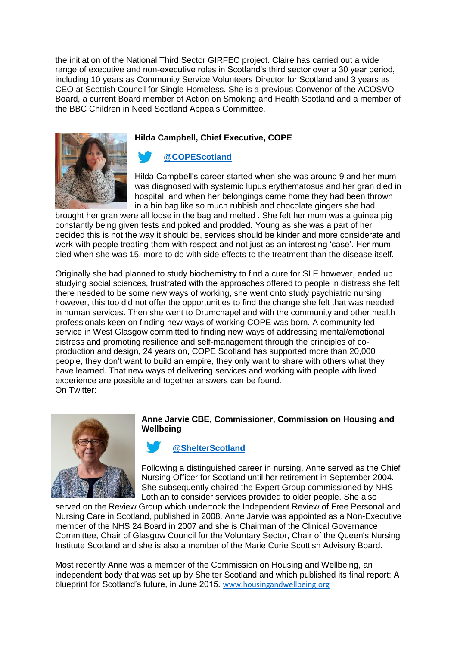the initiation of the National Third Sector GIRFEC project. Claire has carried out a wide range of executive and non-executive roles in Scotland's third sector over a 30 year period, including 10 years as Community Service Volunteers Director for Scotland and 3 years as CEO at Scottish Council for Single Homeless. She is a previous Convenor of the ACOSVO Board, a current Board member of Action on Smoking and Health Scotland and a member of the BBC Children in Need Scotland Appeals Committee.

### **Hilda Campbell, Chief Executive, COPE**

# **[@COPEScotland](https://twitter.com/COPEScotland)**

Hilda Campbell's career started when she was around 9 and her mum was diagnosed with systemic lupus erythematosus and her gran died in hospital, and when her belongings came home they had been thrown in a bin bag like so much rubbish and chocolate gingers she had

brought her gran were all loose in the bag and melted . She felt her mum was a guinea pig constantly being given tests and poked and prodded. Young as she was a part of her decided this is not the way it should be, services should be kinder and more considerate and work with people treating them with respect and not just as an interesting 'case'. Her mum died when she was 15, more to do with side effects to the treatment than the disease itself.

Originally she had planned to study biochemistry to find a cure for SLE however, ended up studying social sciences, frustrated with the approaches offered to people in distress she felt there needed to be some new ways of working, she went onto study psychiatric nursing however, this too did not offer the opportunities to find the change she felt that was needed in human services. Then she went to Drumchapel and with the community and other health professionals keen on finding new ways of working COPE was born. A community led service in West Glasgow committed to finding new ways of addressing mental/emotional distress and promoting resilience and self-management through the principles of coproduction and design, 24 years on, COPE Scotland has supported more than 20,000 people, they don't want to build an empire, they only want to share with others what they have learned. That new ways of delivering services and working with people with lived experience are possible and together answers can be found. On Twitter:



#### **Anne Jarvie CBE, Commissioner, Commission on Housing and Wellbeing**

# **[@ShelterScotland](https://twitter.com/shelterscotland)**

Following a distinguished career in nursing, Anne served as the Chief Nursing Officer for Scotland until her retirement in September 2004. She subsequently chaired the Expert Group commissioned by NHS Lothian to consider services provided to older people. She also

served on the Review Group which undertook the Independent Review of Free Personal and Nursing Care in Scotland, published in 2008. Anne Jarvie was appointed as a Non-Executive member of the NHS 24 Board in 2007 and she is Chairman of the Clinical Governance Committee, Chair of Glasgow Council for the Voluntary Sector, Chair of the Queen's Nursing Institute Scotland and she is also a member of the Marie Curie Scottish Advisory Board.

Most recently Anne was a member of the Commission on Housing and Wellbeing, an independent body that was set up by Shelter Scotland and which published its final report: A blueprint for Scotland's future, in June 2015. [www.housingandwellbeing.org](http://www.housingandwellbeing.org/)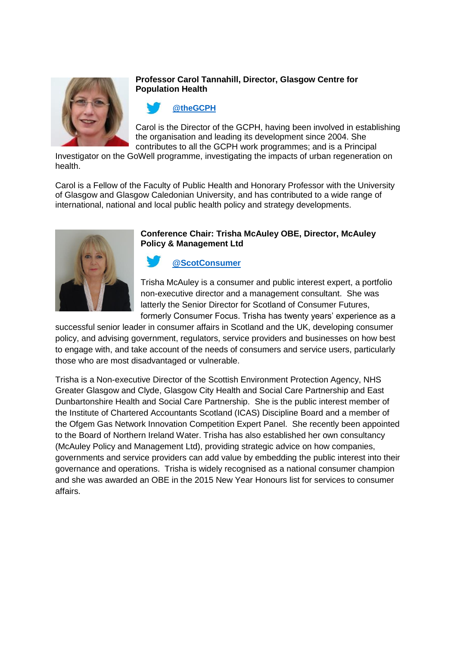

#### **Professor Carol Tannahill, Director, Glasgow Centre for Population Health**



Carol is the Director of the GCPH, having been involved in establishing the organisation and leading its development since 2004. She contributes to all the GCPH work programmes; and is a Principal

Investigator on the GoWell programme, investigating the impacts of urban regeneration on health.

Carol is a Fellow of the Faculty of Public Health and Honorary Professor with the University of Glasgow and Glasgow Caledonian University, and has contributed to a wide range of international, national and local public health policy and strategy developments.



#### **Conference Chair: Trisha McAuley OBE, Director, McAuley Policy & Management Ltd**

# **[@ScotConsumer](https://twitter.com/scotconsumer)**

Trisha McAuley is a consumer and public interest expert, a portfolio non-executive director and a management consultant. She was latterly the Senior Director for Scotland of Consumer Futures, formerly Consumer Focus. Trisha has twenty years' experience as a

successful senior leader in consumer affairs in Scotland and the UK, developing consumer policy, and advising government, regulators, service providers and businesses on how best to engage with, and take account of the needs of consumers and service users, particularly those who are most disadvantaged or vulnerable.

Trisha is a Non-executive Director of the Scottish Environment Protection Agency, NHS Greater Glasgow and Clyde, Glasgow City Health and Social Care Partnership and East Dunbartonshire Health and Social Care Partnership. She is the public interest member of the Institute of Chartered Accountants Scotland (ICAS) Discipline Board and a member of the Ofgem Gas Network Innovation Competition Expert Panel. She recently been appointed to the Board of Northern Ireland Water. Trisha has also established her own consultancy (McAuley Policy and Management Ltd), providing strategic advice on how companies, governments and service providers can add value by embedding the public interest into their governance and operations. Trisha is widely recognised as a national consumer champion and she was awarded an OBE in the 2015 New Year Honours list for services to consumer affairs.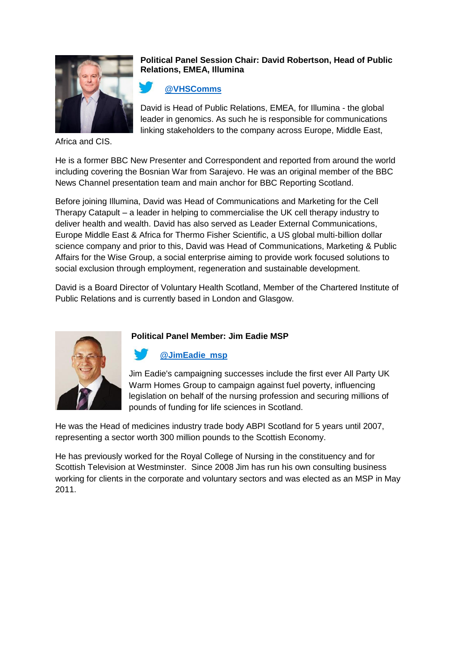

### **Political Panel Session Chair: David Robertson, Head of Public Relations, EMEA, Illumina**

# **[@VHSComms](https://twitter.com/VHSComms)**

David is Head of Public Relations, EMEA, for Illumina - the global leader in genomics. As such he is responsible for communications linking stakeholders to the company across Europe, Middle East,

Africa and CIS.

He is a former BBC New Presenter and Correspondent and reported from around the world including covering the Bosnian War from Sarajevo. He was an original member of the BBC News Channel presentation team and main anchor for BBC Reporting Scotland.

Before joining Illumina, David was Head of Communications and Marketing for the Cell Therapy Catapult – a leader in helping to commercialise the UK cell therapy industry to deliver health and wealth. David has also served as Leader External Communications, Europe Middle East & Africa for Thermo Fisher Scientific, a US global multi-billion dollar science company and prior to this, David was Head of Communications, Marketing & Public Affairs for the Wise Group, a social enterprise aiming to provide work focused solutions to social exclusion through employment, regeneration and sustainable development.

David is a Board Director of Voluntary Health Scotland, Member of the Chartered Institute of Public Relations and is currently based in London and Glasgow.



# **Political Panel Member: Jim Eadie MSP**

# **[@JimEadie\\_msp](https://twitter.com/JimEadie_msp)**

Jim Eadie's campaigning successes include the first ever All Party UK Warm Homes Group to campaign against fuel poverty, influencing legislation on behalf of the nursing profession and securing millions of pounds of funding for life sciences in Scotland.

He was the Head of medicines industry trade body ABPI Scotland for 5 years until 2007, representing a sector worth 300 million pounds to the Scottish Economy.

He has previously worked for the Royal College of Nursing in the constituency and for Scottish Television at Westminster. Since 2008 Jim has run his own consulting business working for clients in the corporate and voluntary sectors and was elected as an MSP in May 2011.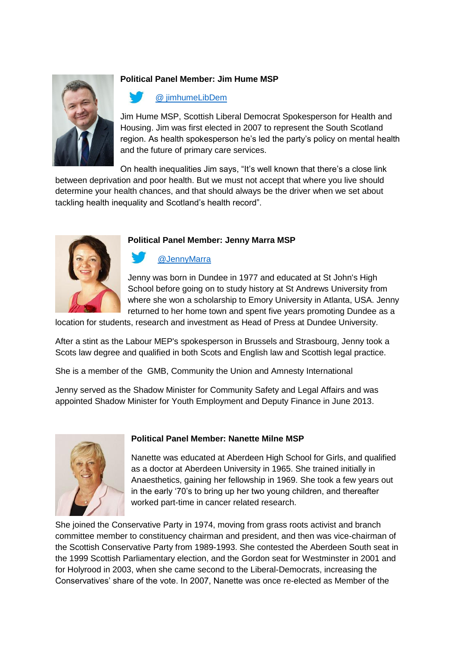

# **Political Panel Member: Jim Hume MSP**

# @ [jimhumeLibDem](https://twitter.com/jimhumeLibDem)

Jim Hume MSP, Scottish Liberal Democrat Spokesperson for Health and Housing. Jim was first elected in 2007 to represent the South Scotland region. As health spokesperson he's led the party's policy on mental health and the future of primary care services.

On health inequalities Jim says, "It's well known that there's a close link between deprivation and poor health. But we must not accept that where you live should determine your health chances, and that should always be the driver when we set about tackling health inequality and Scotland's health record".



#### **Political Panel Member: Jenny Marra MSP**

# [@JennyMarra](https://twitter.com/JennyMarra)

Jenny was born in Dundee in 1977 and educated at St John's High School before going on to study history at St Andrews University from where she won a scholarship to Emory University in Atlanta, USA. Jenny returned to her home town and spent five years promoting Dundee as a

location for students, research and investment as Head of Press at Dundee University.

After a stint as the Labour MEP's spokesperson in Brussels and Strasbourg, Jenny took a Scots law degree and qualified in both Scots and English law and Scottish legal practice.

She is a member of the GMB, Community the Union and Amnesty International

Jenny served as the Shadow Minister for Community Safety and Legal Affairs and was appointed Shadow Minister for Youth Employment and Deputy Finance in June 2013.



#### **Political Panel Member: Nanette Milne MSP**

Nanette was educated at Aberdeen High School for Girls, and qualified as a doctor at Aberdeen University in 1965. She trained initially in Anaesthetics, gaining her fellowship in 1969. She took a few years out in the early '70's to bring up her two young children, and thereafter worked part-time in cancer related research.

She joined the Conservative Party in 1974, moving from grass roots activist and branch committee member to constituency chairman and president, and then was vice-chairman of the Scottish Conservative Party from 1989-1993. She contested the Aberdeen South seat in the 1999 Scottish Parliamentary election, and the Gordon seat for Westminster in 2001 and for Holyrood in 2003, when she came second to the Liberal-Democrats, increasing the Conservatives' share of the vote. In 2007, Nanette was once re-elected as Member of the